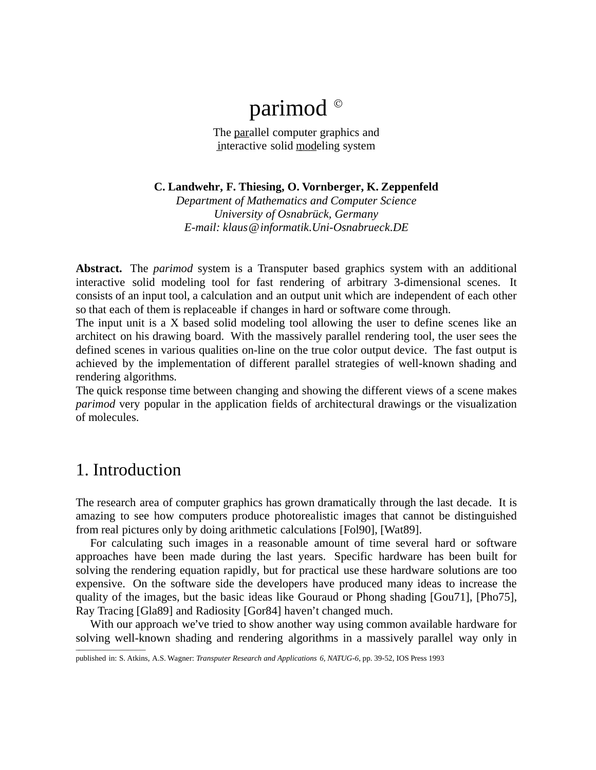# parimod ©

The parallel computer graphics and interactive solid modeling system

**C. Landwehr, F. Thiesing, O. Vornberger, K. Zeppenfeld**

*Department of Mathematics and Computer Science University of Osnabrück, Germany E-mail: klaus@informatik.Uni-Osnabrueck.DE*

**Abstract.** The *parimod* system is a Transputer based graphics system with an additional interactive solid modeling tool for fast rendering of arbitrary 3-dimensional scenes. It consists of an input tool, a calculation and an output unit which are independent of each other so that each of them is replaceable if changes in hard or software come through.

The input unit is a X based solid modeling tool allowing the user to define scenes like an architect on his drawing board. With the massively parallel rendering tool, the user sees the defined scenes in various qualities on-line on the true color output device. The fast output is achieved by the implementation of different parallel strategies of well-known shading and rendering algorithms.

The quick response time between changing and showing the different views of a scene makes *parimod* very popular in the application fields of architectural drawings or the visualization of molecules.

### 1. Introduction

The research area of computer graphics has grown dramatically through the last decade. It is amazing to see how computers produce photorealistic images that cannot be distinguished from real pictures only by doing arithmetic calculations [Fol90], [Wat89].

For calculating such images in a reasonable amount of time several hard or software approaches have been made during the last years. Specific hardware has been built for solving the rendering equation rapidly, but for practical use these hardware solutions are too expensive. On the software side the developers have produced many ideas to increase the quality of the images, but the basic ideas like Gouraud or Phong shading [Gou71], [Pho75], Ray Tracing [Gla89] and Radiosity [Gor84] haven't changed much.

With our approach we've tried to show another way using common available hardware for solving well-known shading and rendering algorithms in a massively parallel way only in  $\overline{\phantom{a}}$  , where  $\overline{\phantom{a}}$ 

published in: S. Atkins, A.S. Wagner: *Transputer Research and Applications 6, NATUG-6*, pp. 39-52, IOS Press 1993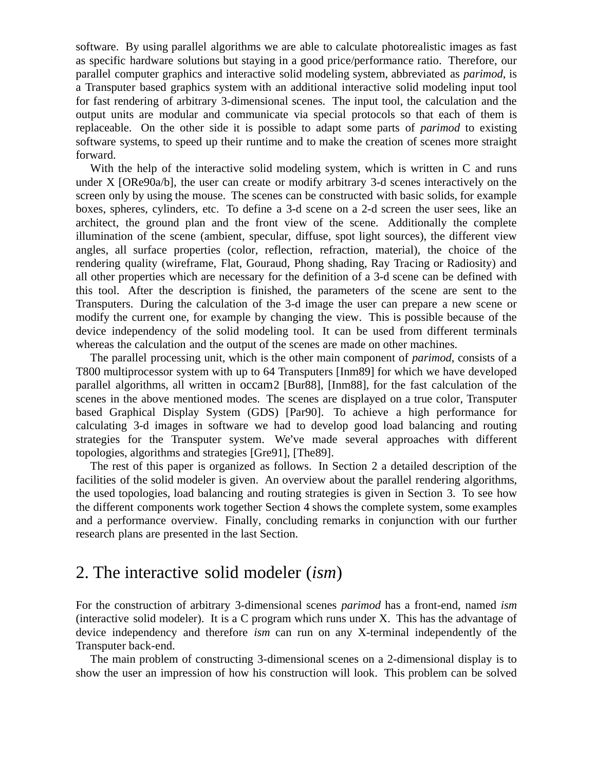software. By using parallel algorithms we are able to calculate photorealistic images as fast as specific hardware solutions but staying in a good price/performance ratio. Therefore, our parallel computer graphics and interactive solid modeling system, abbreviated as *parimod*, is a Transputer based graphics system with an additional interactive solid modeling input tool for fast rendering of arbitrary 3-dimensional scenes. The input tool, the calculation and the output units are modular and communicate via special protocols so that each of them is replaceable. On the other side it is possible to adapt some parts of *parimod* to existing software systems, to speed up their runtime and to make the creation of scenes more straight forward.

With the help of the interactive solid modeling system, which is written in C and runs under X [ORe90a/b], the user can create or modify arbitrary 3-d scenes interactively on the screen only by using the mouse. The scenes can be constructed with basic solids, for example boxes, spheres, cylinders, etc. To define a 3-d scene on a 2-d screen the user sees, like an architect, the ground plan and the front view of the scene. Additionally the complete illumination of the scene (ambient, specular, diffuse, spot light sources), the different view angles, all surface properties (color, reflection, refraction, material), the choice of the rendering quality (wireframe, Flat, Gouraud, Phong shading, Ray Tracing or Radiosity) and all other properties which are necessary for the definition of a 3-d scene can be defined with this tool. After the description is finished, the parameters of the scene are sent to the Transputers. During the calculation of the 3-d image the user can prepare a new scene or modify the current one, for example by changing the view. This is possible because of the device independency of the solid modeling tool. It can be used from different terminals whereas the calculation and the output of the scenes are made on other machines.

The parallel processing unit, which is the other main component of *parimod*, consists of a T800 multiprocessor system with up to 64 Transputers [Inm89] for which we have developed parallel algorithms, all written in occam2 [Bur88], [Inm88], for the fast calculation of the scenes in the above mentioned modes. The scenes are displayed on a true color, Transputer based Graphical Display System (GDS) [Par90]. To achieve a high performance for calculating 3-d images in software we had to develop good load balancing and routing strategies for the Transputer system. We've made several approaches with different topologies, algorithms and strategies [Gre91], [The89].

The rest of this paper is organized as follows. In Section 2 a detailed description of the facilities of the solid modeler is given. An overview about the parallel rendering algorithms, the used topologies, load balancing and routing strategies is given in Section 3. To see how the different components work together Section 4 shows the complete system, some examples and a performance overview. Finally, concluding remarks in conjunction with our further research plans are presented in the last Section.

### 2. The interactive solid modeler (*ism*)

For the construction of arbitrary 3-dimensional scenes *parimod* has a front-end, named *ism* (interactive solid modeler). It is a C program which runs under X. This has the advantage of device independency and therefore *ism* can run on any X-terminal independently of the Transputer back-end.

The main problem of constructing 3-dimensional scenes on a 2-dimensional display is to show the user an impression of how his construction will look. This problem can be solved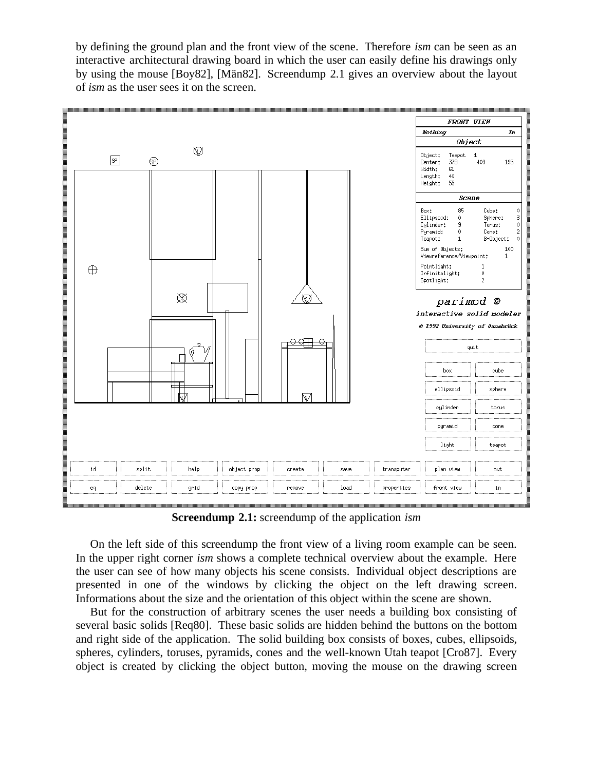by defining the ground plan and the front view of the scene. Therefore *ism* can be seen as an interactive architectural drawing board in which the user can easily define his drawings only by using the mouse [Boy82], [Män82]. Screendump 2.1 gives an overview about the layout of *ism* as the user sees it on the screen.



**Screendump 2.1:** screendump of the application *ism*

On the left side of this screendump the front view of a living room example can be seen. In the upper right corner *ism* shows a complete technical overview about the example. Here the user can see of how many objects his scene consists. Individual object descriptions are presented in one of the windows by clicking the object on the left drawing screen. Informations about the size and the orientation of this object within the scene are shown.

But for the construction of arbitrary scenes the user needs a building box consisting of several basic solids [Req80]. These basic solids are hidden behind the buttons on the bottom and right side of the application. The solid building box consists of boxes, cubes, ellipsoids, spheres, cylinders, toruses, pyramids, cones and the well-known Utah teapot [Cro87]. Every object is created by clicking the object button, moving the mouse on the drawing screen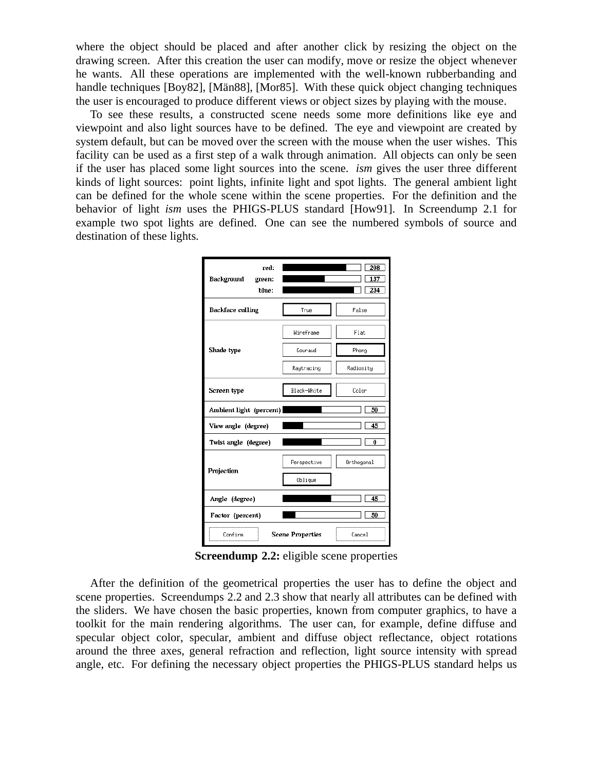where the object should be placed and after another click by resizing the object on the drawing screen. After this creation the user can modify, move or resize the object whenever he wants. All these operations are implemented with the well-known rubberbanding and handle techniques [Boy82], [Män88], [Mor85]. With these quick object changing techniques the user is encouraged to produce different views or object sizes by playing with the mouse.

To see these results, a constructed scene needs some more definitions like eye and viewpoint and also light sources have to be defined. The eye and viewpoint are created by system default, but can be moved over the screen with the mouse when the user wishes. This facility can be used as a first step of a walk through animation. All objects can only be seen if the user has placed some light sources into the scene. *ism* gives the user three different kinds of light sources: point lights, infinite light and spot lights. The general ambient light can be defined for the whole scene within the scene properties. For the definition and the behavior of light *ism* uses the PHIGS-PLUS standard [How91]. In Screendump 2.1 for example two spot lights are defined. One can see the numbered symbols of source and destination of these lights.

| red:<br>Background<br>green:<br>hlue: |             | 208<br>137<br>234 |
|---------------------------------------|-------------|-------------------|
| Backface culling                      | True        | False             |
|                                       | Wireframe   | Flat              |
| Shade type                            | Gouraud     | Phong             |
|                                       | Raytracing  | Radiosity         |
| Screen type                           | Black-White | Color             |
| Ambient light (percent)               |             | 50                |
| View angle (degree)                   |             | 45                |
|                                       |             |                   |
| Twist angle (degree)                  |             | $\overline{0}$    |
|                                       | Perspective | Orthogonal        |
| Projection                            | Oblique     |                   |
| Angle (degree)                        |             | 45                |
| Factor (percent)                      |             | 50                |

**Screendump 2.2:** eligible scene properties

After the definition of the geometrical properties the user has to define the object and scene properties. Screendumps 2.2 and 2.3 show that nearly all attributes can be defined with the sliders. We have chosen the basic properties, known from computer graphics, to have a toolkit for the main rendering algorithms. The user can, for example, define diffuse and specular object color, specular, ambient and diffuse object reflectance, object rotations around the three axes, general refraction and reflection, light source intensity with spread angle, etc. For defining the necessary object properties the PHIGS-PLUS standard helps us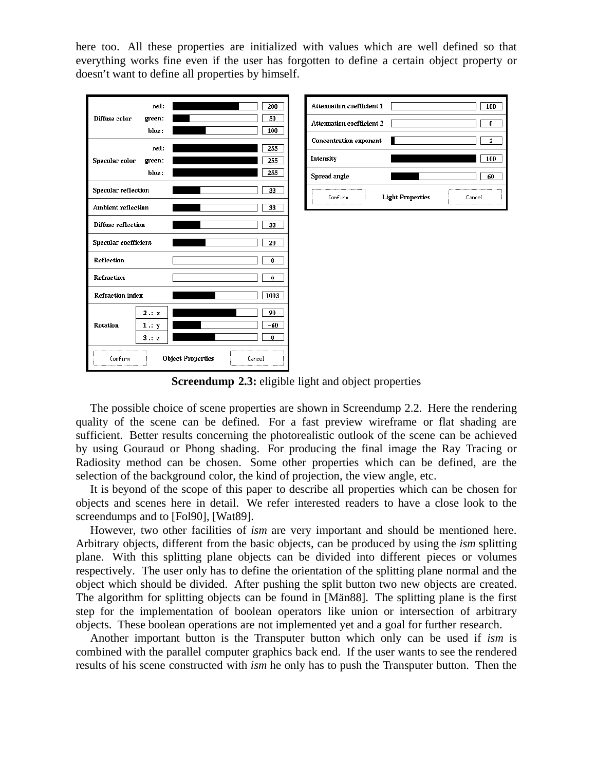here too. All these properties are initialized with values which are well defined so that everything works fine even if the user has forgotten to define a certain object property or doesn't want to define all properties by himself.





**Screendump 2.3:** eligible light and object properties

The possible choice of scene properties are shown in Screendump 2.2. Here the rendering quality of the scene can be defined. For a fast preview wireframe or flat shading are sufficient. Better results concerning the photorealistic outlook of the scene can be achieved by using Gouraud or Phong shading. For producing the final image the Ray Tracing or Radiosity method can be chosen. Some other properties which can be defined, are the selection of the background color, the kind of projection, the view angle, etc.

It is beyond of the scope of this paper to describe all properties which can be chosen for objects and scenes here in detail. We refer interested readers to have a close look to the screendumps and to [Fol90], [Wat89].

However, two other facilities of *ism* are very important and should be mentioned here. Arbitrary objects, different from the basic objects, can be produced by using the *ism* splitting plane. With this splitting plane objects can be divided into different pieces or volumes respectively. The user only has to define the orientation of the splitting plane normal and the object which should be divided. After pushing the split button two new objects are created. The algorithm for splitting objects can be found in [Män88]. The splitting plane is the first step for the implementation of boolean operators like union or intersection of arbitrary objects. These boolean operations are not implemented yet and a goal for further research.

Another important button is the Transputer button which only can be used if *ism* is combined with the parallel computer graphics back end. If the user wants to see the rendered results of his scene constructed with *ism* he only has to push the Transputer button. Then the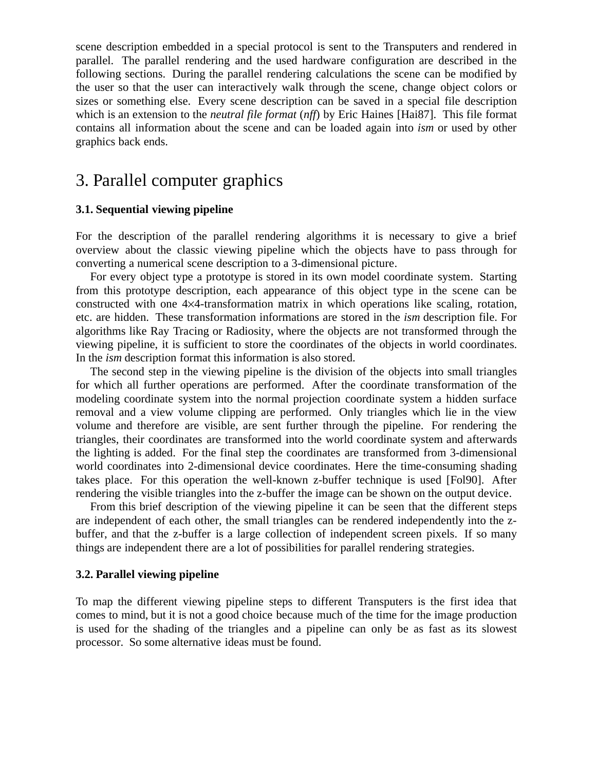scene description embedded in a special protocol is sent to the Transputers and rendered in parallel. The parallel rendering and the used hardware configuration are described in the following sections. During the parallel rendering calculations the scene can be modified by the user so that the user can interactively walk through the scene, change object colors or sizes or something else. Every scene description can be saved in a special file description which is an extension to the *neutral file format* (*nff*) by Eric Haines [Hai87]. This file format contains all information about the scene and can be loaded again into *ism* or used by other graphics back ends.

## 3. Parallel computer graphics

#### **3.1. Sequential viewing pipeline**

For the description of the parallel rendering algorithms it is necessary to give a brief overview about the classic viewing pipeline which the objects have to pass through for converting a numerical scene description to a 3-dimensional picture.

For every object type a prototype is stored in its own model coordinate system. Starting from this prototype description, each appearance of this object type in the scene can be constructed with one 4×4-transformation matrix in which operations like scaling, rotation, etc. are hidden. These transformation informations are stored in the *ism* description file. For algorithms like Ray Tracing or Radiosity, where the objects are not transformed through the viewing pipeline, it is sufficient to store the coordinates of the objects in world coordinates. In the *ism* description format this information is also stored.

The second step in the viewing pipeline is the division of the objects into small triangles for which all further operations are performed. After the coordinate transformation of the modeling coordinate system into the normal projection coordinate system a hidden surface removal and a view volume clipping are performed. Only triangles which lie in the view volume and therefore are visible, are sent further through the pipeline. For rendering the triangles, their coordinates are transformed into the world coordinate system and afterwards the lighting is added. For the final step the coordinates are transformed from 3-dimensional world coordinates into 2-dimensional device coordinates. Here the time-consuming shading takes place. For this operation the well-known z-buffer technique is used [Fol90]. After rendering the visible triangles into the z-buffer the image can be shown on the output device.

From this brief description of the viewing pipeline it can be seen that the different steps are independent of each other, the small triangles can be rendered independently into the zbuffer, and that the z-buffer is a large collection of independent screen pixels. If so many things are independent there are a lot of possibilities for parallel rendering strategies.

#### **3.2. Parallel viewing pipeline**

To map the different viewing pipeline steps to different Transputers is the first idea that comes to mind, but it is not a good choice because much of the time for the image production is used for the shading of the triangles and a pipeline can only be as fast as its slowest processor. So some alternative ideas must be found.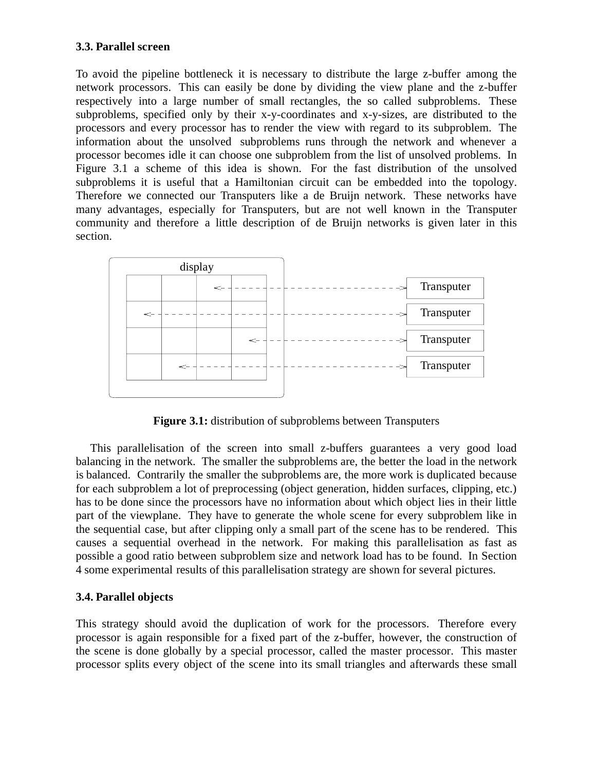### **3.3. Parallel screen**

To avoid the pipeline bottleneck it is necessary to distribute the large z-buffer among the network processors. This can easily be done by dividing the view plane and the z-buffer respectively into a large number of small rectangles, the so called subproblems. These subproblems, specified only by their x-y-coordinates and x-y-sizes, are distributed to the processors and every processor has to render the view with regard to its subproblem. The information about the unsolved subproblems runs through the network and whenever a processor becomes idle it can choose one subproblem from the list of unsolved problems. In Figure 3.1 a scheme of this idea is shown. For the fast distribution of the unsolved subproblems it is useful that a Hamiltonian circuit can be embedded into the topology. Therefore we connected our Transputers like a de Bruijn network. These networks have many advantages, especially for Transputers, but are not well known in the Transputer community and therefore a little description of de Bruijn networks is given later in this section.



**Figure 3.1:** distribution of subproblems between Transputers

This parallelisation of the screen into small z-buffers guarantees a very good load balancing in the network. The smaller the subproblems are, the better the load in the network is balanced. Contrarily the smaller the subproblems are, the more work is duplicated because for each subproblem a lot of preprocessing (object generation, hidden surfaces, clipping, etc.) has to be done since the processors have no information about which object lies in their little part of the viewplane. They have to generate the whole scene for every subproblem like in the sequential case, but after clipping only a small part of the scene has to be rendered. This causes a sequential overhead in the network. For making this parallelisation as fast as possible a good ratio between subproblem size and network load has to be found. In Section 4 some experimental results of this parallelisation strategy are shown for several pictures.

#### **3.4. Parallel objects**

This strategy should avoid the duplication of work for the processors. Therefore every processor is again responsible for a fixed part of the z-buffer, however, the construction of the scene is done globally by a special processor, called the master processor. This master processor splits every object of the scene into its small triangles and afterwards these small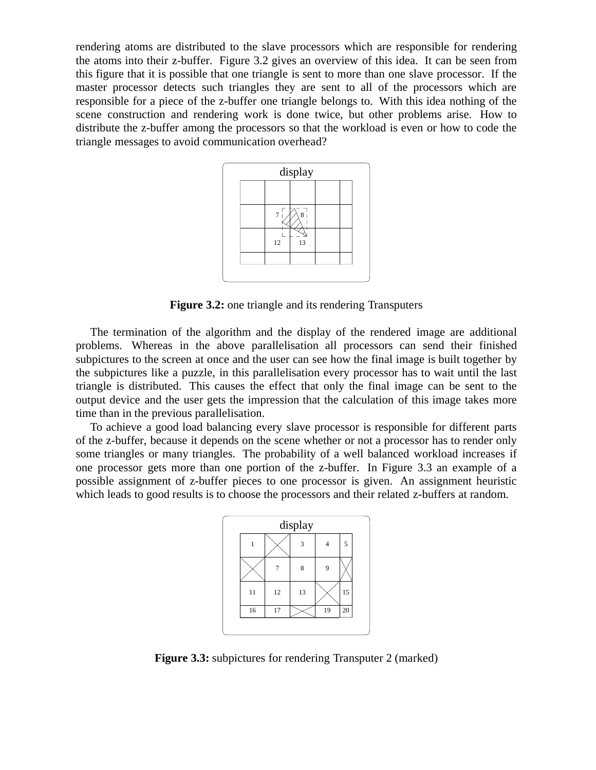rendering atoms are distributed to the slave processors which are responsible for rendering the atoms into their z-buffer. Figure 3.2 gives an overview of this idea. It can be seen from this figure that it is possible that one triangle is sent to more than one slave processor. If the master processor detects such triangles they are sent to all of the processors which are responsible for a piece of the z-buffer one triangle belongs to. With this idea nothing of the scene construction and rendering work is done twice, but other problems arise. How to distribute the z-buffer among the processors so that the workload is even or how to code the triangle messages to avoid communication overhead?



**Figure 3.2:** one triangle and its rendering Transputers

The termination of the algorithm and the display of the rendered image are additional problems. Whereas in the above parallelisation all processors can send their finished subpictures to the screen at once and the user can see how the final image is built together by the subpictures like a puzzle, in this parallelisation every processor has to wait until the last triangle is distributed. This causes the effect that only the final image can be sent to the output device and the user gets the impression that the calculation of this image takes more time than in the previous parallelisation.

To achieve a good load balancing every slave processor is responsible for different parts of the z-buffer, because it depends on the scene whether or not a processor has to render only some triangles or many triangles. The probability of a well balanced workload increases if one processor gets more than one portion of the z-buffer. In Figure 3.3 an example of a possible assignment of z-buffer pieces to one processor is given. An assignment heuristic which leads to good results is to choose the processors and their related z-buffers at random.



**Figure 3.3:** subpictures for rendering Transputer 2 (marked)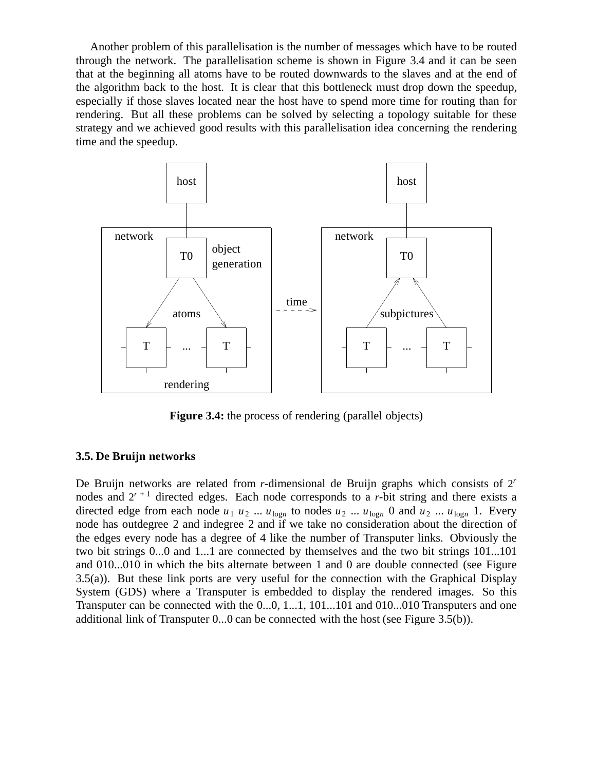Another problem of this parallelisation is the number of messages which have to be routed through the network. The parallelisation scheme is shown in Figure 3.4 and it can be seen that at the beginning all atoms have to be routed downwards to the slaves and at the end of the algorithm back to the host. It is clear that this bottleneck must drop down the speedup, especially if those slaves located near the host have to spend more time for routing than for rendering. But all these problems can be solved by selecting a topology suitable for these strategy and we achieved good results with this parallelisation idea concerning the rendering time and the speedup.



**Figure 3.4:** the process of rendering (parallel objects)

#### **3.5. De Bruijn networks**

De Bruijn networks are related from *r*-dimensional de Bruijn graphs which consists of 2*<sup>r</sup>* nodes and  $2^{r+1}$  directed edges. Each node corresponds to a *r*-bit string and there exists a directed edge from each node  $u_1$   $u_2$  ...  $u_{\text{log}n}$  to nodes  $u_2$  ...  $u_{\text{log}n}$  0 and  $u_2$  ...  $u_{\text{log}n}$  1. Every node has outdegree 2 and indegree 2 and if we take no consideration about the direction of the edges every node has a degree of 4 like the number of Transputer links. Obviously the two bit strings 0...0 and 1...1 are connected by themselves and the two bit strings 101...101 and 010...010 in which the bits alternate between 1 and 0 are double connected (see Figure 3.5(a)). But these link ports are very useful for the connection with the Graphical Display System (GDS) where a Transputer is embedded to display the rendered images. So this Transputer can be connected with the 0...0, 1...1, 101...101 and 010...010 Transputers and one additional link of Transputer 0...0 can be connected with the host (see Figure 3.5(b)).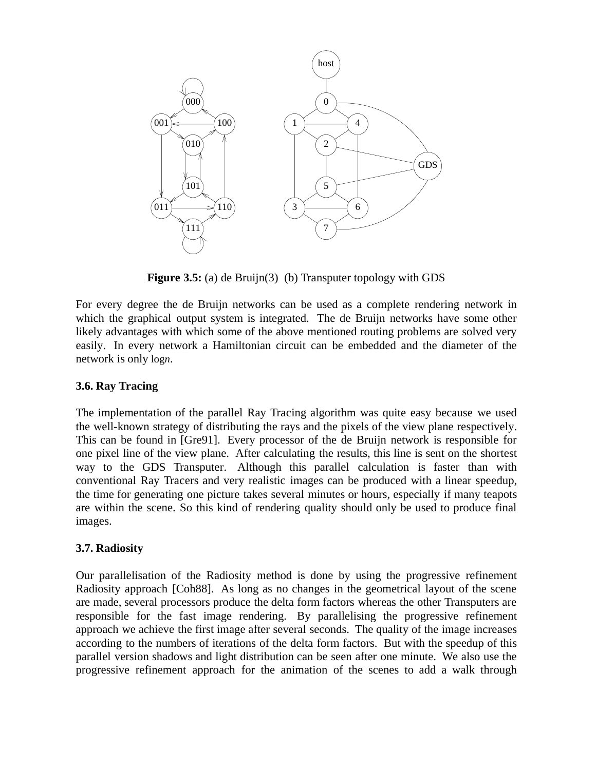

**Figure 3.5:** (a) de Bruijn(3) (b) Transputer topology with GDS

For every degree the de Bruijn networks can be used as a complete rendering network in which the graphical output system is integrated. The de Bruijn networks have some other likely advantages with which some of the above mentioned routing problems are solved very easily. In every network a Hamiltonian circuit can be embedded and the diameter of the network is only log*n*.

#### **3.6. Ray Tracing**

The implementation of the parallel Ray Tracing algorithm was quite easy because we used the well-known strategy of distributing the rays and the pixels of the view plane respectively. This can be found in [Gre91]. Every processor of the de Bruijn network is responsible for one pixel line of the view plane. After calculating the results, this line is sent on the shortest way to the GDS Transputer. Although this parallel calculation is faster than with conventional Ray Tracers and very realistic images can be produced with a linear speedup, the time for generating one picture takes several minutes or hours, especially if many teapots are within the scene. So this kind of rendering quality should only be used to produce final images.

### **3.7. Radiosity**

Our parallelisation of the Radiosity method is done by using the progressive refinement Radiosity approach [Coh88]. As long as no changes in the geometrical layout of the scene are made, several processors produce the delta form factors whereas the other Transputers are responsible for the fast image rendering. By parallelising the progressive refinement approach we achieve the first image after several seconds. The quality of the image increases according to the numbers of iterations of the delta form factors. But with the speedup of this parallel version shadows and light distribution can be seen after one minute. We also use the progressive refinement approach for the animation of the scenes to add a walk through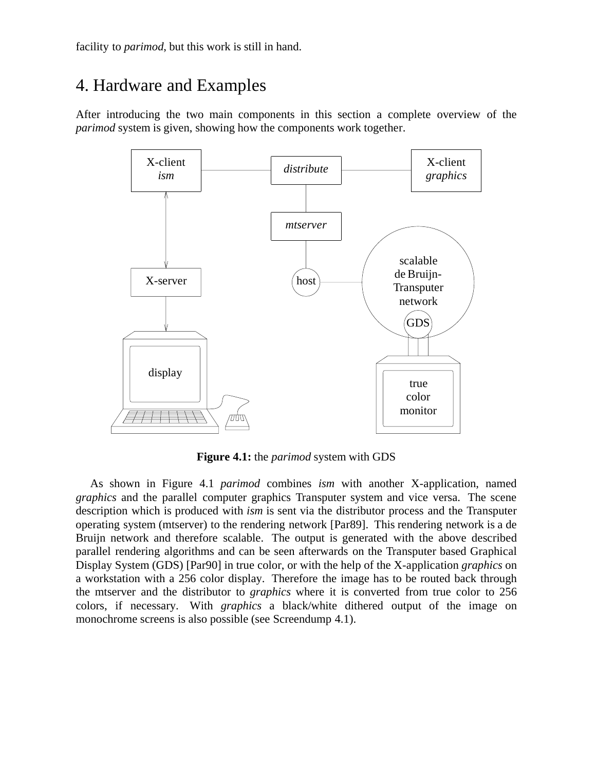facility to *parimod*, but this work is still in hand.

# 4. Hardware and Examples

After introducing the two main components in this section a complete overview of the *parimod* system is given, showing how the components work together.



**Figure 4.1:** the *parimod* system with GDS

As shown in Figure 4.1 *parimod* combines *ism* with another X-application, named *graphics* and the parallel computer graphics Transputer system and vice versa. The scene description which is produced with *ism* is sent via the distributor process and the Transputer operating system (mtserver) to the rendering network [Par89]. This rendering network is a de Bruijn network and therefore scalable. The output is generated with the above described parallel rendering algorithms and can be seen afterwards on the Transputer based Graphical Display System (GDS) [Par90] in true color, or with the help of the X-application *graphics* on a workstation with a 256 color display. Therefore the image has to be routed back through the mtserver and the distributor to *graphics* where it is converted from true color to 256 colors, if necessary. With *graphics* a black/white dithered output of the image on monochrome screens is also possible (see Screendump 4.1).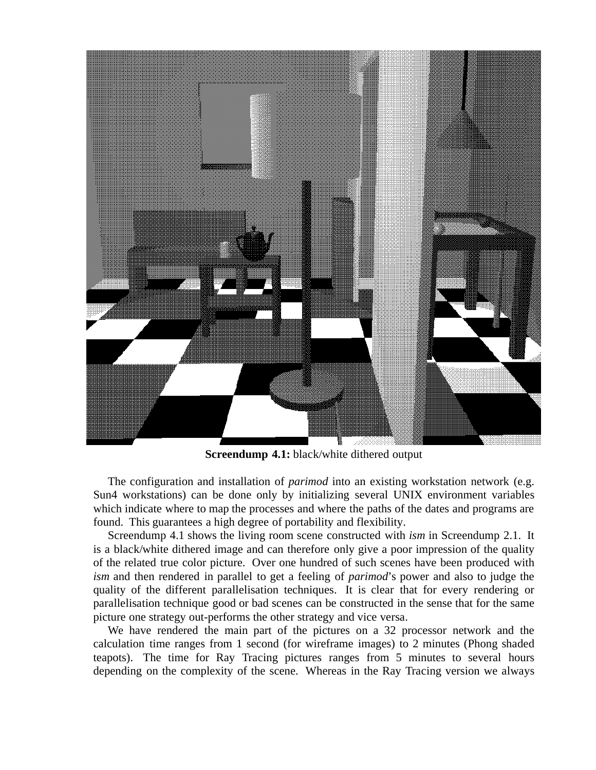

**Screendump 4.1:** black/white dithered output

The configuration and installation of *parimod* into an existing workstation network (e.g. Sun4 workstations) can be done only by initializing several UNIX environment variables which indicate where to map the processes and where the paths of the dates and programs are found. This guarantees a high degree of portability and flexibility.

Screendump 4.1 shows the living room scene constructed with *ism* in Screendump 2.1. It is a black/white dithered image and can therefore only give a poor impression of the quality of the related true color picture. Over one hundred of such scenes have been produced with *ism* and then rendered in parallel to get a feeling of *parimod*'s power and also to judge the quality of the different parallelisation techniques. It is clear that for every rendering or parallelisation technique good or bad scenes can be constructed in the sense that for the same picture one strategy out-performs the other strategy and vice versa.

We have rendered the main part of the pictures on a 32 processor network and the calculation time ranges from 1 second (for wireframe images) to 2 minutes (Phong shaded teapots). The time for Ray Tracing pictures ranges from 5 minutes to several hours depending on the complexity of the scene. Whereas in the Ray Tracing version we always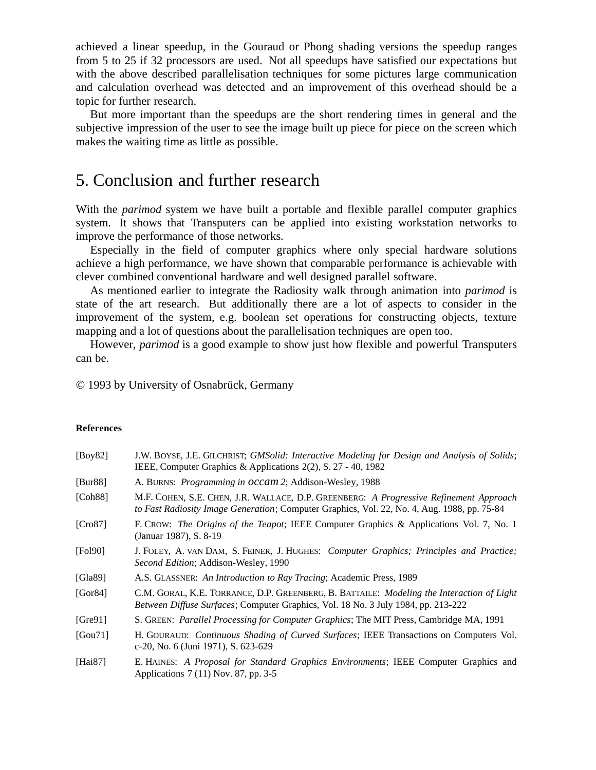achieved a linear speedup, in the Gouraud or Phong shading versions the speedup ranges from 5 to 25 if 32 processors are used. Not all speedups have satisfied our expectations but with the above described parallelisation techniques for some pictures large communication and calculation overhead was detected and an improvement of this overhead should be a topic for further research.

But more important than the speedups are the short rendering times in general and the subjective impression of the user to see the image built up piece for piece on the screen which makes the waiting time as little as possible.

### 5. Conclusion and further research

With the *parimod* system we have built a portable and flexible parallel computer graphics system. It shows that Transputers can be applied into existing workstation networks to improve the performance of those networks.

Especially in the field of computer graphics where only special hardware solutions achieve a high performance, we have shown that comparable performance is achievable with clever combined conventional hardware and well designed parallel software.

As mentioned earlier to integrate the Radiosity walk through animation into *parimod* is state of the art research. But additionally there are a lot of aspects to consider in the improvement of the system, e.g. boolean set operations for constructing objects, texture mapping and a lot of questions about the parallelisation techniques are open too.

However, *parimod* is a good example to show just how flexible and powerful Transputers can be.

© 1993 by University of Osnabrück, Germany

#### **References**

| [Boy82]     | J.W. BOYSE, J.E. GILCHRIST; GMSolid: Interactive Modeling for Design and Analysis of Solids;<br>IEEE, Computer Graphics & Applications 2(2), S. 27 - 40, 1982                         |
|-------------|---------------------------------------------------------------------------------------------------------------------------------------------------------------------------------------|
| [Bur88]     | A. BURNS: Programming in occam 2; Addison-Wesley, 1988                                                                                                                                |
| [Ch88]      | M.F. COHEN, S.E. CHEN, J.R. WALLACE, D.P. GREENBERG: A Progressive Refinement Approach<br>to Fast Radiosity Image Generation; Computer Graphics, Vol. 22, No. 4, Aug. 1988, pp. 75-84 |
| [Cro87]     | F. CROW: <i>The Origins of the Teapot</i> ; IEEE Computer Graphics & Applications Vol. 7, No. 1<br>(Januar 1987), S. 8-19                                                             |
| [Fol90]     | J. FOLEY, A. VAN DAM, S. FEINER, J. HUGHES: <i>Computer Graphics</i> ; <i>Principles and Practice</i> ;<br><i>Second Edition</i> ; Addison-Wesley, 1990                               |
| [Gla89]     | A.S. GLASSNER: An Introduction to Ray Tracing; Academic Press, 1989                                                                                                                   |
| [Gor $84$ ] | C.M. GORAL, K.E. TORRANCE, D.P. GREENBERG, B. BATTAILE: Modeling the Interaction of Light<br>Between Diffuse Surfaces; Computer Graphics, Vol. 18 No. 3 July 1984, pp. 213-222        |
| [Gre91]     | S. GREEN: Parallel Processing for Computer Graphics; The MIT Press, Cambridge MA, 1991                                                                                                |
| [Gou71]     | H. GOURAUD: Continuous Shading of Curved Surfaces; IEEE Transactions on Computers Vol.<br>c-20, No. 6 (Juni 1971), S. 623-629                                                         |
| [Hai $87$ ] | E. HAINES: A Proposal for Standard Graphics Environments; IEEE Computer Graphics and<br>Applications 7 (11) Nov. 87, pp. 3-5                                                          |